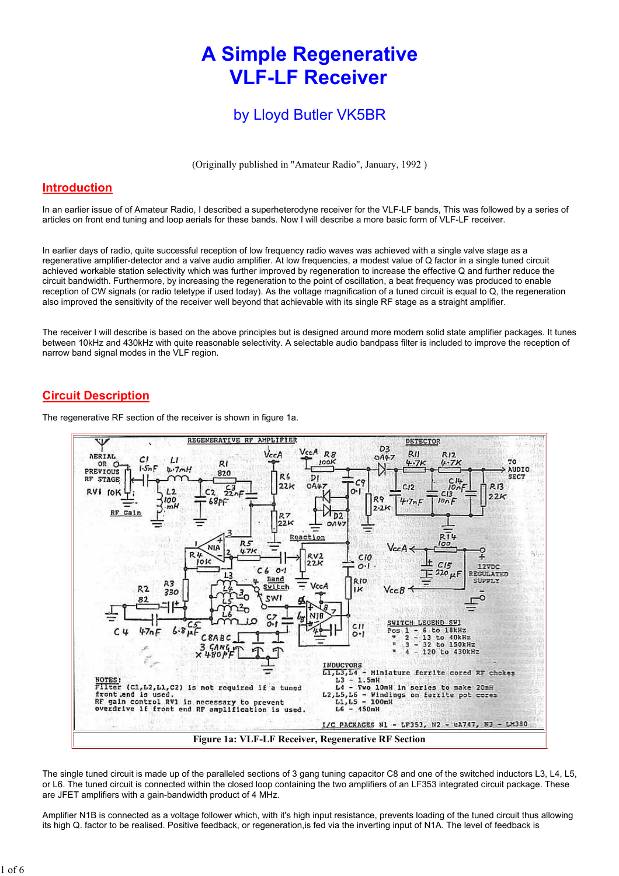# A Simple Regenerative VLF-LF Receiver

## by Lloyd Butler VK5BR

(Originally published in "Amateur Radio", January, 1992 )

#### Introduction

In an earlier issue of of Amateur Radio, I described a superheterodyne receiver for the VLF-LF bands, This was followed by a series of articles on front end tuning and loop aerials for these bands. Now I will describe a more basic form of VLF-LF receiver.

In earlier days of radio, quite successful reception of low frequency radio waves was achieved with a single valve stage as a regenerative amplifier-detector and a valve audio amplifier. At low frequencies, a modest value of Q factor in a single tuned circuit achieved workable station selectivity which was further improved by regeneration to increase the effective Q and further reduce the circuit bandwidth. Furthermore, by increasing the regeneration to the point of oscillation, a beat frequency was produced to enable reception of CW signals (or radio teletype if used today). As the voltage magnification of a tuned circuit is equal to Q, the regeneration also improved the sensitivity of the receiver well beyond that achievable with its single RF stage as a straight amplifier.

The receiver I will describe is based on the above principles but is designed around more modern solid state amplifier packages. It tunes between 10kHz and 430kHz with quite reasonable selectivity. A selectable audio bandpass filter is included to improve the reception of narrow band signal modes in the VLF region.

## Circuit Description

The regenerative RF section of the receiver is shown in figure 1a.



The single tuned circuit is made up of the paralleled sections of 3 gang tuning capacitor C8 and one of the switched inductors L3, L4, L5, or L6. The tuned circuit is connected within the closed loop containing the two amplifiers of an LF353 integrated circuit package. These are JFET amplifiers with a gain-bandwidth product of 4 MHz.

Amplifier N1B is connected as a voltage follower which, with it's high input resistance, prevents loading of the tuned circuit thus allowing its high Q. factor to be realised. Positive feedback, or regeneration,is fed via the inverting input of N1A. The level of feedback is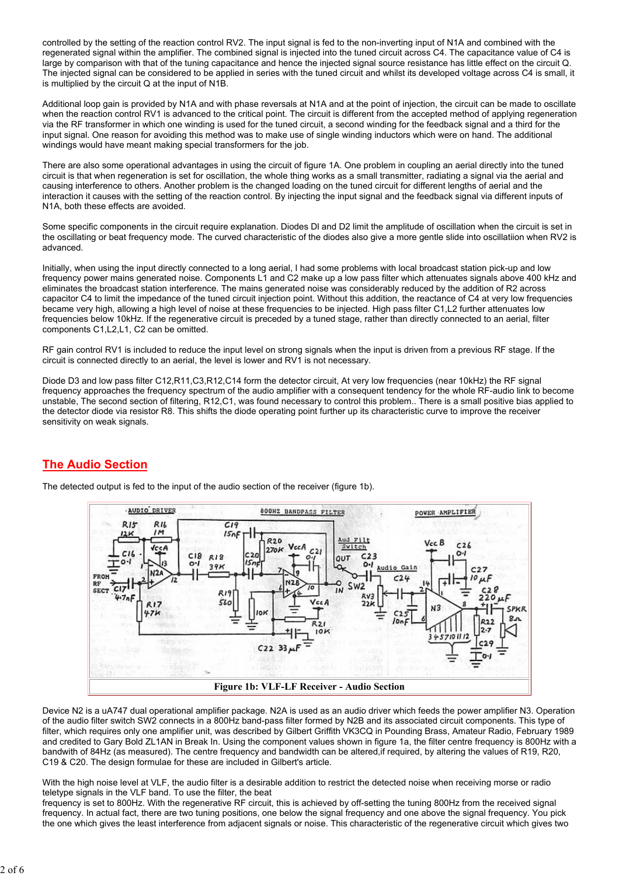controlled by the setting of the reaction control RV2. The input signal is fed to the non-inverting input of N1A and combined with the regenerated signal within the amplifier. The combined signal is injected into the tuned circuit across C4. The capacitance value of C4 is large by comparison with that of the tuning capacitance and hence the injected signal source resistance has little effect on the circuit Q. The injected signal can be considered to be applied in series with the tuned circuit and whilst its developed voltage across C4 is small, it is multiplied by the circuit Q at the input of N1B.

Additional loop gain is provided by N1A and with phase reversals at N1A and at the point of injection, the circuit can be made to oscillate when the reaction control RV1 is advanced to the critical point. The circuit is different from the accepted method of applying regeneration via the RF transformer in which one winding is used for the tuned circuit, a second winding for the feedback signal and a third for the input signal. One reason for avoiding this method was to make use of single winding inductors which were on hand. The additional windings would have meant making special transformers for the job.

There are also some operational advantages in using the circuit of figure 1A. One problem in coupling an aerial directly into the tuned circuit is that when regeneration is set for oscillation, the whole thing works as a small transmitter, radiating a signal via the aerial and causing interference to others. Another problem is the changed loading on the tuned circuit for different lengths of aerial and the interaction it causes with the setting of the reaction control. By injecting the input signal and the feedback signal via different inputs of N1A, both these effects are avoided.

Some specific components in the circuit require explanation. Diodes Dl and D2 limit the amplitude of oscillation when the circuit is set in the oscillating or beat frequency mode. The curved characteristic of the diodes also give a more gentle slide into oscillatiion when RV2 is advanced.

Initially, when using the input directly connected to a long aerial, I had some problems with local broadcast station pick-up and low frequency power mains generated noise. Components L1 and C2 make up a low pass filter which attenuates signals above 400 kHz and eliminates the broadcast station interference. The mains generated noise was considerably reduced by the addition of R2 across capacitor C4 to limit the impedance of the tuned circuit injection point. Without this addition, the reactance of C4 at very low frequencies became very high, allowing a high level of noise at these frequencies to be injected. High pass filter C1,L2 further attenuates low frequencies below 10kHz. If the regenerative circuit is preceded by a tuned stage, rather than directly connected to an aerial, filter components C1,L2,L1, C2 can be omitted.

RF gain control RV1 is included to reduce the input level on strong signals when the input is driven from a previous RF stage. If the circuit is connected directly to an aerial, the level is lower and RV1 is not necessary.

Diode D3 and low pass filter C12,R11,C3,R12,C14 form the detector circuit, At very low frequencies (near 10kHz) the RF signal frequency approaches the frequency spectrum of the audio amplifier with a consequent tendency for the whole RF-audio link to become unstable, The second section of filtering, R12,C1, was found necessary to control this problem.. There is a small positive bias applied to the detector diode via resistor R8. This shifts the diode operating point further up its characteristic curve to improve the receiver sensitivity on weak signals.

## The Audio Section





Device N2 is a uA747 dual operational amplifier package. N2A is used as an audio driver which feeds the power amplifier N3. Operation of the audio filter switch SW2 connects in a 800Hz band-pass filter formed by N2B and its associated circuit components. This type of filter, which requires only one amplifier unit, was described by Gilbert Griffith VK3CQ in Pounding Brass, Amateur Radio, February 1989 and credited to Gary Bold ZL1AN in Break In. Using the component values shown in figure 1a, the filter centre frequency is 800Hz with a bandwith of 84Hz (as measured). The centre frequency and bandwidth can be altered,if required, by altering the values of R19, R20, C19 & C20. The design formulae for these are included in Gilbert's article.

With the high noise level at VLF, the audio filter is a desirable addition to restrict the detected noise when receiving morse or radio teletype signals in the VLF band. To use the filter, the beat

frequency is set to 800Hz. With the regenerative RF circuit, this is achieved by off-setting the tuning 800Hz from the received signal frequency. In actual fact, there are two tuning positions, one below the signal frequency and one above the signal frequency. You pick the one which gives the least interference from adjacent signals or noise. This characteristic of the regenerative circuit which gives two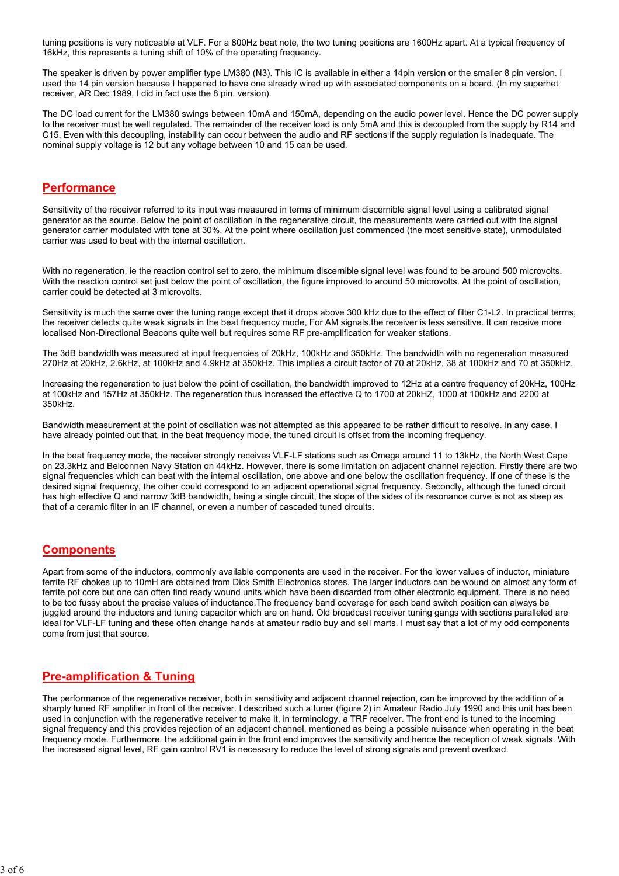tuning positions is very noticeable at VLF. For a 800Hz beat note, the two tuning positions are 1600Hz apart. At a typical frequency of 16kHz, this represents a tuning shift of 10% of the operating frequency.

The speaker is driven by power amplifier type LM380 (N3). This IC is available in either a 14pin version or the smaller 8 pin version. I used the 14 pin version because I happened to have one already wired up with associated components on a board. (In my superhet receiver, AR Dec 1989, I did in fact use the 8 pin. version).

The DC load current for the LM380 swings between 10mA and 150mA, depending on the audio power level. Hence the DC power supply to the receiver must be well regulated. The remainder of the receiver load is only 5mA and this is decoupled from the supply by R14 and C15. Even with this decoupling, instability can occur between the audio and RF sections if the supply regulation is inadequate. The nominal supply voltage is 12 but any voltage between 10 and 15 can be used.

#### **Performance**

Sensitivity of the receiver referred to its input was measured in terms of minimum discernible signal level using a calibrated signal generator as the source. Below the point of oscillation in the regenerative circuit, the measurements were carried out with the signal generator carrier modulated with tone at 30%. At the point where oscillation just commenced (the most sensitive state), unmodulated carrier was used to beat with the internal oscillation.

With no regeneration, ie the reaction control set to zero, the minimum discernible signal level was found to be around 500 microvolts. With the reaction control set just below the point of oscillation, the figure improved to around 50 microvolts. At the point of oscillation, carrier could be detected at 3 microvolts.

Sensitivity is much the same over the tuning range except that it drops above 300 kHz due to the effect of filter C1-L2. In practical terms, the receiver detects quite weak signals in the beat frequency mode, For AM signals,the receiver is less sensitive. It can receive more localised Non-Directional Beacons quite well but requires some RF pre-amplification for weaker stations.

The 3dB bandwidth was measured at input frequencies of 20kHz, 100kHz and 350kHz. The bandwidth with no regeneration measured 270Hz at 20kHz, 2.6kHz, at 100kHz and 4.9kHz at 350kHz. This implies a circuit factor of 70 at 20kHz, 38 at 100kHz and 70 at 350kHz.

Increasing the regeneration to just below the point of oscillation, the bandwidth improved to 12Hz at a centre frequency of 20kHz, 100Hz at 100kHz and 157Hz at 350kHz. The regeneration thus increased the effective Q to 1700 at 20kHZ, 1000 at 100kHz and 2200 at 350kHz.

Bandwidth measurement at the point of oscillation was not attempted as this appeared to be rather difficult to resolve. In any case, I have already pointed out that, in the beat frequency mode, the tuned circuit is offset from the incoming frequency.

In the beat frequency mode, the receiver strongly receives VLF-LF stations such as Omega around 11 to 13kHz, the North West Cape on 23.3kHz and Belconnen Navy Station on 44kHz. However, there is some limitation on adjacent channel rejection. Firstly there are two signal frequencies which can beat with the internal oscillation, one above and one below the oscillation frequency. If one of these is the desired signal frequency, the other could correspond to an adjacent operational signal frequency. Secondly, although the tuned circuit has high effective Q and narrow 3dB bandwidth, being a single circuit, the slope of the sides of its resonance curve is not as steep as that of a ceramic filter in an IF channel, or even a number of cascaded tuned circuits.

#### **Components**

Apart from some of the inductors, commonly available components are used in the receiver. For the lower values of inductor, miniature ferrite RF chokes up to 10mH are obtained from Dick Smith Electronics stores. The larger inductors can be wound on almost any form of ferrite pot core but one can often find ready wound units which have been discarded from other electronic equipment. There is no need to be too fussy about the precise values of inductance.The frequency band coverage for each band switch position can always be juggled around the inductors and tuning capacitor which are on hand. Old broadcast receiver tuning gangs with sections paralleled are ideal for VLF-LF tuning and these often change hands at amateur radio buy and sell marts. I must say that a lot of my odd components come from just that source.

#### Pre-amplification & Tuning

The performance of the regenerative receiver, both in sensitivity and adjacent channel rejection, can be irnproved by the addition of a sharply tuned RF amplifier in front of the receiver. I described such a tuner (figure 2) in Amateur Radio July 1990 and this unit has been used in conjunction with the regenerative receiver to make it, in terminology, a TRF receiver. The front end is tuned to the incoming signal frequency and this provides rejection of an adjacent channel, mentioned as being a possible nuisance when operating in the beat frequency mode. Furthermore, the additional gain in the front end improves the sensitivity and hence the reception of weak signals. With the increased signal level, RF gain control RV1 is necessary to reduce the level of strong signals and prevent overload.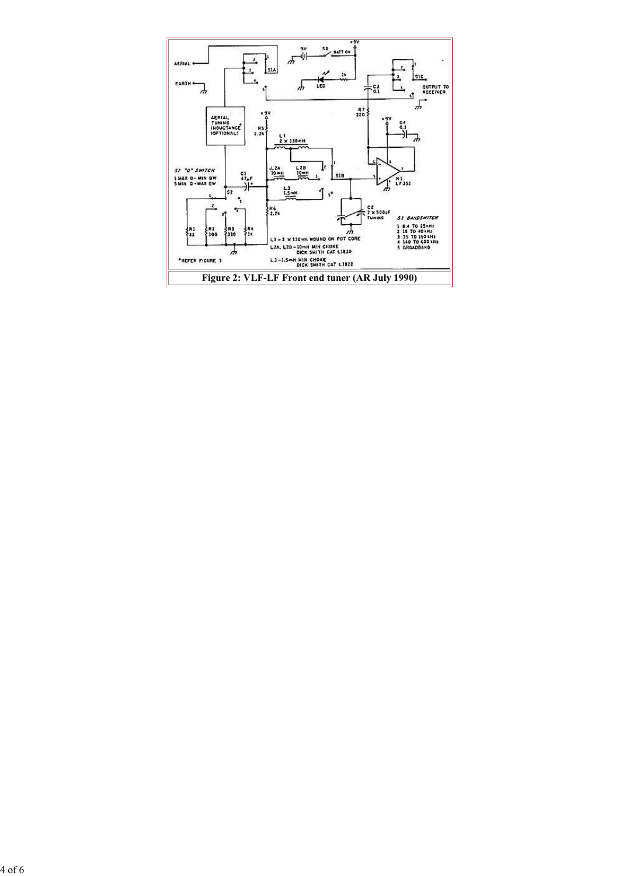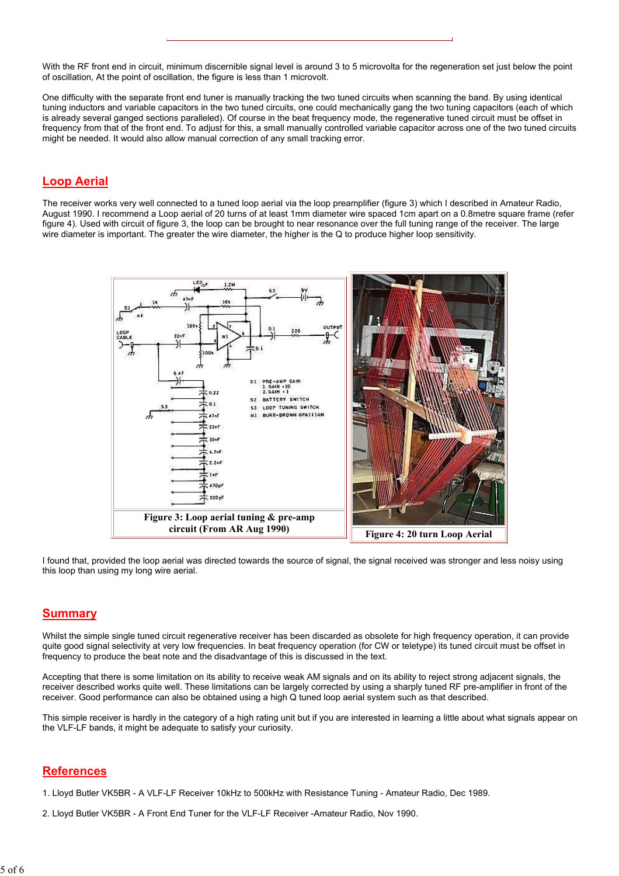With the RF front end in circuit, minimum discernible signal level is around 3 to 5 microvolta for the regeneration set just below the point of oscillation, At the point of oscillation, the figure is less than 1 microvolt.

One difficulty with the separate front end tuner is manually tracking the two tuned circuits when scanning the band. By using identical tuning inductors and variable capacitors in the two tuned circuits, one could mechanically gang the two tuning capacitors (each of which is already several ganged sections paralleled). Of course in the beat frequency mode, the regenerative tuned circuit must be offset in frequency from that of the front end. To adjust for this, a small manually controlled variable capacitor across one of the two tuned circuits might be needed. It would also allow manual correction of any small tracking error.

### Loop Aerial

The receiver works very well connected to a tuned loop aerial via the loop preamplifier (figure 3) which I described in Amateur Radio, August 1990. I recommend a Loop aerial of 20 turns of at least 1mm diameter wire spaced 1cm apart on a 0.8metre square frame (refer figure 4). Used with circuit of figure 3, the loop can be brought to near resonance over the full tuning range of the receiver. The large wire diameter is important. The greater the wire diameter, the higher is the Q to produce higher loop sensitivity.



I found that, provided the loop aerial was directed towards the source of signal, the signal received was stronger and less noisy using this loop than using my long wire aerial.

#### Summary

Whilst the simple single tuned circuit regenerative receiver has been discarded as obsolete for high frequency operation, it can provide quite good signal selectivity at very low frequencies. In beat frequency operation (for CW or teletype) its tuned circuit must be offset in frequency to produce the beat note and the disadvantage of this is discussed in the text.

Accepting that there is some limitation on its ability to receive weak AM signals and on its ability to reject strong adjacent signals, the receiver described works quite well. These limitations can be largely corrected by using a sharply tuned RF pre-amplifier in front of the receiver. Good performance can also be obtained using a high Q tuned loop aerial system such as that described.

This simple receiver is hardly in the category of a high rating unit but if you are interested in learning a little about what signals appear on the VLF-LF bands, it might be adequate to satisfy your curiosity.

#### **References**

1. Lloyd Butler VK5BR - A VLF-LF Receiver 10kHz to 500kHz with Resistance Tuning - Amateur Radio, Dec 1989.

2. Lloyd Butler VK5BR - A Front End Tuner for the VLF-LF Receiver -Amateur Radio, Nov 1990.